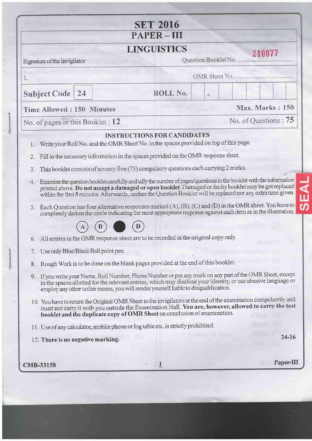|                                           | <b>SET 2016</b>                                                                                                                                                                                                                                                                                                                                |                        |
|-------------------------------------------|------------------------------------------------------------------------------------------------------------------------------------------------------------------------------------------------------------------------------------------------------------------------------------------------------------------------------------------------|------------------------|
|                                           | $PAPER-III$                                                                                                                                                                                                                                                                                                                                    |                        |
|                                           | <b>LINGUISTICS</b>                                                                                                                                                                                                                                                                                                                             | 240077                 |
| Signature of the Invigilator              |                                                                                                                                                                                                                                                                                                                                                | Question Booklet No.   |
| L.                                        |                                                                                                                                                                                                                                                                                                                                                |                        |
| <b>Subject Code</b><br>24                 | ROLL No.                                                                                                                                                                                                                                                                                                                                       | x                      |
| <b>Time Allowed: 150 Minutes</b>          |                                                                                                                                                                                                                                                                                                                                                | <b>Max. Marks: 150</b> |
| No. of pages in this Booklet : $12$       |                                                                                                                                                                                                                                                                                                                                                | No. of Questions: 75   |
|                                           | <b>INSTRUCTIONS FOR CANDIDATES</b>                                                                                                                                                                                                                                                                                                             |                        |
| 1.                                        | Write your Roll No. and the OMR Sheet No. in the spaces provided on top of this page.                                                                                                                                                                                                                                                          |                        |
| 2.                                        | Fill in the necessary information in the spaces provided on the OMR response sheet.                                                                                                                                                                                                                                                            |                        |
| 3.                                        | This booklet consists of seventy five (75) compulsory questions each carrying 2 marks.                                                                                                                                                                                                                                                         |                        |
| 4.                                        | Examine the question booklet carefully and tally the number of pages/questions in the booklet with the information<br>printed above. Do not accept a damaged or open booklet. Damaged or faulty booklet may be got replaced<br>within the first 5 minutes. Afterwards, neither the Question Booklet will be replaced nor any extra time given. |                        |
| 5.                                        | Each Question has four alternative responses marked (A), (B), (C) and (D) in the OMR sheet. You have to<br>completely darken the circle indicating the most appropriate response against each item as in the illustration.                                                                                                                     |                        |
|                                           |                                                                                                                                                                                                                                                                                                                                                |                        |
| 6.                                        | All entries in the OMR response sheet are to be recorded in the original copy only.                                                                                                                                                                                                                                                            |                        |
| Use only Blue/Black Ball point pen.<br>7. |                                                                                                                                                                                                                                                                                                                                                |                        |
| 8.                                        | Rough Work is to be done on the blank pages provided at the end of this booklet.                                                                                                                                                                                                                                                               |                        |
| 9.                                        | If you write your Name, Roll Number, Phone Number or put any mark on any part of the OMR Sheet, except<br>in the spaces allotted for the relevant entries, which may disclose your identity, or use abusive language or<br>employ any other unfair means, you will render yourself liable to disqualification.                                 |                        |
|                                           | 10. You have to return the Original OMR Sheet to the invigilators at the end of the examination compulsorily and<br>must not carry it with you outside the Examination Hall. You are, however, allowed to carry the test<br>booklet and the duplicate copy of OMR Sheet on conclusion of examination.                                          |                        |
|                                           | 11. Use of any calculator, mobile phone or log table etc. is strictly prohibited.                                                                                                                                                                                                                                                              |                        |
|                                           |                                                                                                                                                                                                                                                                                                                                                | $24 - 16$              |
| 12. There is no negative marking.         |                                                                                                                                                                                                                                                                                                                                                |                        |

 $\begin{array}{c} \hline \end{array}$ 

 $\begin{array}{c} \hline \rule{0pt}{2ex} \rule{0pt}{2ex} \rule{0pt}{2ex} \rule{0pt}{2ex} \rule{0pt}{2ex} \rule{0pt}{2ex} \rule{0pt}{2ex} \rule{0pt}{2ex} \rule{0pt}{2ex} \rule{0pt}{2ex} \rule{0pt}{2ex} \rule{0pt}{2ex} \rule{0pt}{2ex} \rule{0pt}{2ex} \rule{0pt}{2ex} \rule{0pt}{2ex} \rule{0pt}{2ex} \rule{0pt}{2ex} \rule{0pt}{2ex} \rule{0pt}{2ex} \rule{0pt}{2ex} \rule{0pt}{2ex} \rule{0pt}{2ex} \rule{$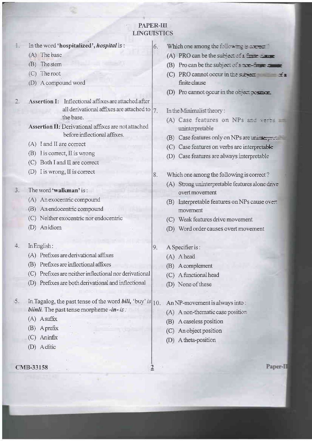## **PAPER-III LINGUISTICS**

6.

8.

9.

2

|  |  | In the word 'hospitalized', <i>hospital</i> is: |  |
|--|--|-------------------------------------------------|--|
|--|--|-------------------------------------------------|--|

- $(A)$  The base
- (B) The stem
- $(C)$  The root
- (D) A compound word
- Assertion I: Inflectional affixes are attached after all derivational affixes are attached to  $7.$ the base.
	- **Assertion II:** Derivational affixes are not attached before inflectional affixes.
	- (A) I and II are correct
	- $(B)$  I is correct, II is wrong
	- (C) Both I and II are correct
	- (D) I is wrong, II is correct
- The word 'walkman' is:  $\mathcal{L}$ 
	- (A) An exocentric compound
	- (B) An endocentric compound
	- (C) Neither exocentric nor endocentric
	- (D) Anidiom
- In English:  $4.$ 
	- (A) Prefixes are derivational affixes
	- (B) Prefixes are inflectional affixes
	- (C) Prefixes are neither inflectional nor derivational
	- (D) Prefixes are both derivational and inflectional
- In Tagalog, the past tense of the word *bili*, 'buy' is  $|10\rangle$ .  $5$ *biinli*. The past tense morpheme  $-in- is:$ 
	- (A) Asuffix
	- (B) Aprefix
	- $(C)$  Aninfix
	- (D) Aclitic
- CMB-33158
- Which one among the following is extremely
	- (A) PRO can be the subject of  $\epsilon$  functions
	- (B) Pro can be the subject of  $\epsilon$  nor-fine  $\epsilon$
	- (C) PRO cannot occur in the science  $\vec{x}$ finite clause
	- (D) Pro cannot occur in the object position.

#### In the Minimalist theory:

- (A) Case features on NPs and verts uninterpretable
- (B) Case features only on NPs are unimer-
- (C) Case features on verbs are interpretable
- (D) Case features are always interpretable
- Which one among the following is correct?
	- (A) Strong uninterpretable features alone drive overt movement
	- (B) Interpretable features on NPs cause over. movement
	- (C) Weak features drive movement
- (D) Word order causes overt movement
- A Specifier is:
	- (A) A head
	- (B) A complement
	- (C) A functional head
	- (D) None of these
- An NP-movement is always into:
- (A) A non-thematic case position
- (B) A caseless position
- (C) An object position
- (D) A theta-position

Paper-II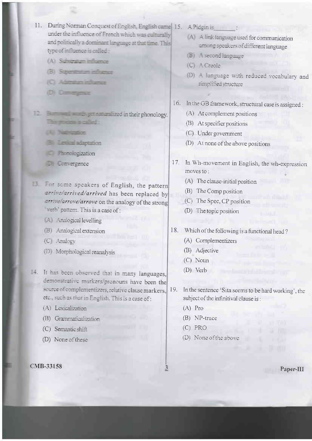- 11. During Norman Conquest of English, English came 15. A Pidgin is under the influence of French which was culturally and politically a dominant language at the time. This type of influence is called
	- (A) Substration influence
	- (B) Superstatum influence
	- (C) Address informer
	- **Di** Danagence
- The process and of
	- *DU Nationales*
	- **8** Lexical adaptation
	- *<u>Phirmelogization</u>*
	- **D** Convergence
- For some speakers of English, the pattern arrive arrived/arrived has been replaced by arrive/arrove/arrove on the analogy of the strong therb' pattern. This is a case of :
	- Analogical levelling
	- (B) Analogical extension
	- (C) Analogy
	- (D) Morphological reanalysis
- 14. It has been observed that in many languages, demonstrative markers/pronouns have been the source of complementizers, relative clause markers. etc., such as that in English. This is a case of:
	- (A) Lexicalization
	- (B) Grammaticalization
	- (C) Semantic shift
	- (D) None of these

#### CMB-33158

- 
- (A) A link language used for communication among speakers of different language
- (B) A second language
- (C) A Creole
- (D) A language with reduced vocabulary and simplified structure
- 16. In the GB framework, structural case is assigned :
	- (A) At complement positions
	- (B) At specifier positions
	- (C) Under government
	- (D) At none of the above positions
- 17. In Wh-movement in English, the wh-expression moves to:
	- (A) The clause-initial position
	- (B) The Comp position
	- (C) The Spec, CP position
	- (D) The topic position
- 18. Which of the following is a functional head?
	- (A) Complementizers
	- (B) Adjective
	- $(C)$  Noun
	- $(D)$  Verb
- In the sentence 'Sita seems to be hard working', the 19. subject of the infinitival clause is:
	- $(A)$  Pro
	- (B) NP-trace
	- $(C)$  PRO

3

(D) None of the above

Paper-III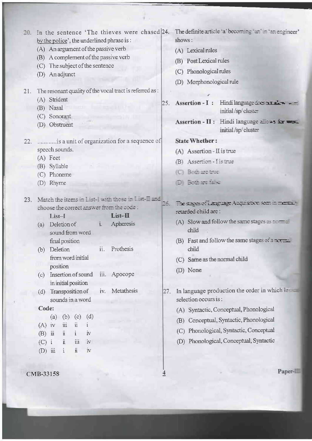| In the sentence 'The thieves were chased 24.<br>20.<br>by the police', the underlined phrase is:<br>(A) An argument of the passive verb<br>(B) A complement of the passive verb<br>(C) The subject of the sentence<br>(D) An adjunct                                                                                                                                                                                                                                                                                                                                                                                                                                                                  | The definite article 'a' becoming 'an' in 'an engineer'<br>shows:<br>(A) Lexical rules<br>(B) Post Lexical rules<br>(C) Phonological rules<br>(D) Morphonological rule                                                                                                                                                                                                                                                                                                                                        |
|-------------------------------------------------------------------------------------------------------------------------------------------------------------------------------------------------------------------------------------------------------------------------------------------------------------------------------------------------------------------------------------------------------------------------------------------------------------------------------------------------------------------------------------------------------------------------------------------------------------------------------------------------------------------------------------------------------|---------------------------------------------------------------------------------------------------------------------------------------------------------------------------------------------------------------------------------------------------------------------------------------------------------------------------------------------------------------------------------------------------------------------------------------------------------------------------------------------------------------|
| The resonant quality of the vocal tract is referred as :<br>21.<br>(A) Strident<br>(B) Nasal<br>(C) Sonorant<br>(D) Obstruent                                                                                                                                                                                                                                                                                                                                                                                                                                                                                                                                                                         | 25. Assertion - I: Hindi language are number $-$<br>initial/sp/cluster<br>Assertion - II : Hindi language allers for work<br>initial/sp/cluster                                                                                                                                                                                                                                                                                                                                                               |
| is a unit of organization for a sequence of<br>22.<br>speech sounds.<br>(A) Feet<br>(B) Syllable<br>(C) Phoneme<br>(D) Rhyme                                                                                                                                                                                                                                                                                                                                                                                                                                                                                                                                                                          | <b>State Whether:</b><br>(A) Assertion - II is true<br>(B) Assertion - I is true<br>(C) Both are true<br><b>D</b> Breather                                                                                                                                                                                                                                                                                                                                                                                    |
| Match the items in List-I with those in List-I and<br>23.<br>choose the correct answer from the code :<br>$List-H$<br>$List-I$<br>Apheresis<br>(a) Deletion of<br>$i -$<br>sound from word<br>final position<br>Prothesis<br>(b) Deletion<br>ii.<br>from word initial<br>position<br>Insertion of sound<br>iii. Apocope<br>(c)<br>in initial position<br>Metathesis<br>Transposition of<br>27.<br>iv.<br>(d)<br>sounds in a word<br>Code:<br>(a)<br>(d)<br>(b)<br>(c)<br>$(A)$ iv<br>$\overline{\text{iii}}$<br>$\ddot{\rm u}$<br>$\ddot{\rm n}$<br>$(B)$ $\ddot{\mathbf{u}}$<br>$\mathbf{i}$<br>iv<br>iii<br>Ä.<br>$(C)$ i<br>$\mathbf{\dot{N}}$<br>$\ddot{\rm n}$<br>$(D)$ iii<br>$\rm iv$<br>$1\,$ | The stages of Language Acquistion seen in memal-<br>retarded child are:<br>(A) Slow and follow the same stages as $\frac{1}{2}$ .<br>child<br>(B) Fast and follow the same stages of a normal<br>child<br>(C) Same as the normal child<br>(D) None<br>In language production the order in which let<br>selection occurs is:<br>(A) Syntactic, Conceptual, Phonological<br>Conceptual, Syntactic, Phonological<br>(B)<br>Phonological, Syntactic, Conceptual<br>(C)<br>(D) Phonological, Conceptual, Syntactic |
| CMB-33158                                                                                                                                                                                                                                                                                                                                                                                                                                                                                                                                                                                                                                                                                             | Paper-                                                                                                                                                                                                                                                                                                                                                                                                                                                                                                        |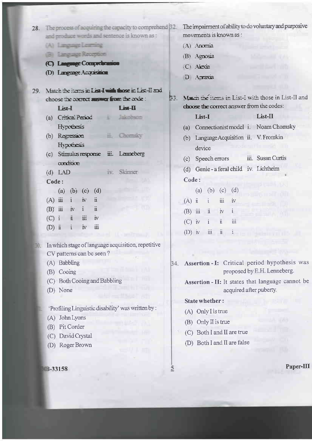|     | 28. The process of acquiring the capacity to comprehend [32]. | The impairment of ability to do voluntary and purposive      |
|-----|---------------------------------------------------------------|--------------------------------------------------------------|
|     | and produce words and sentence is known as :                  | movements is known as :                                      |
|     | (A) Language Learning                                         | $(A)$ Anomia                                                 |
|     | (B) Language Reception                                        | (B) Agnosia                                                  |
|     | (C) Language Comprehension                                    | $(C)$ Alexia                                                 |
|     | (D) Language Acquisition                                      | D Arraxia                                                    |
|     |                                                               |                                                              |
| 29. | Match the fierrs in List-I with those in List-II and          |                                                              |
|     | <b>EST</b><br>choose the correct assumer from the code :      | March the items in List-I with those in List-II and          |
|     | List-II<br>List-I                                             | choose the correct answer from the codes:                    |
|     | (a) Critical Period and the materials                         | List-II<br>List-I                                            |
|     | Hypodesis                                                     | (a) Connectionist model i. Noam Chomsky                      |
|     | (b) Regression                                                | Language Acquisition ii. V. Fromkin<br>(b)                   |
|     | Hypothesis                                                    | device                                                       |
|     | (c) Stimulus response iii. Lenneberg                          | (c) Speech errors iii. Susan Curtis                          |
|     | condition                                                     |                                                              |
|     | iv. Skinner<br>$(d)$ LAD                                      | (d) Genie - a feral child iv. Lichtheim                      |
|     | Code:                                                         | Code:                                                        |
|     | (a) (b) (c) (d)                                               | (b) (c) (d)<br>(a)                                           |
|     | $(A)$ $\ddot{u}$ $i$ $\dot{w}$<br>$\ddot{\mathbf{n}}$         | üi<br>$(A)$ $\ddot{\mathbf{n}}$<br><i>iv</i><br>$\mathbf{i}$ |
|     | $\ddot{\mathbf{i}}$<br>$(B)$ iii iv i                         | $\ddot{u}$<br>$\dot{N}$<br>÷<br>$(B)$ iii                    |
|     | $(C)$ i $\ddot{\mathbf{n}}$ iii<br>$\dot{N}$                  | iii<br>$\ddot{\rm n}$<br>$\mathbf{i}$<br>$(C)$ iv            |
|     | iii<br>(D) $\ddot{\mathbf{n}}$ i<br>$\mathbf{v}$              |                                                              |
|     |                                                               | (D) $\dot{N}$ $\dot{u}$ $\dot{u}$ $\dot{u}$ $\dot{u}$        |
|     | In which stage of language acquisition, repetitive            |                                                              |
|     |                                                               |                                                              |

- CV patterns can be seen?
	- (A) Babbling
	- (B) Cooing
	- (C) Both Cooing and Babbling
	- (D) None
	- 'Profiling Linguistic disability' was written by :
	- (A) John Lyons
	- (B) Pit Corder
	- (C) David Crystal
	- (D) Roger Brown

#### **B-33158**

34. Assertion - I: Critical period hypothesis was proposed by E.H. Lenneberg.

> Assertion - II: It states that language cannot be acquired after puberty.

#### State whether:

(A) Only I is true

 $\tilde{2}$ 

- (B) Only II is true
- (C) Both I and II are true
- (D) Both I and II are false

Paper-III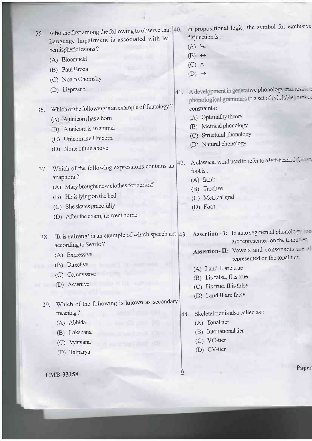| 35. | Who the first among the following to observe that  40.<br>Language Impairment is associated with left |                                  | In propositional logic, the symbol for exclusive<br>disjunction is:                                                                       |
|-----|-------------------------------------------------------------------------------------------------------|----------------------------------|-------------------------------------------------------------------------------------------------------------------------------------------|
|     | hemispheric lesions?                                                                                  |                                  | $(A)$ Ve                                                                                                                                  |
|     | (A) Bloomfield                                                                                        |                                  | $(B) \leftrightarrow$                                                                                                                     |
|     | (B) Paul Broca                                                                                        |                                  | $(C)$ $\Lambda$                                                                                                                           |
|     |                                                                                                       |                                  | $(D) \rightarrow$                                                                                                                         |
|     | (C) Noam Chomsky                                                                                      |                                  |                                                                                                                                           |
|     | (D) Liepmann                                                                                          | 41.                              | A development in generative phonology than restricts<br>phonological grammars to a set of (violable ransed                                |
| 36. | Which of the following is an example of Tautology?                                                    |                                  | constraints:                                                                                                                              |
|     | (A) A unicorn has a horn                                                                              |                                  | (A) Optimality theory                                                                                                                     |
|     | (B) A unicorn is an animal                                                                            |                                  | Metrical phonology<br>(B)                                                                                                                 |
|     | (C) Unicom is a Unicom                                                                                |                                  | Structural phonology<br>(C)                                                                                                               |
|     | (D) None of the above                                                                                 |                                  | Natural phonology<br>(D)                                                                                                                  |
| 37. | Which of the following expressions contains an<br>anaphora?                                           | 42.                              | A classical word used to refer to a left-headed for the<br>foot is:                                                                       |
|     | (A) Mary brought new clothes for herself                                                              |                                  | $(A)$ Iamb                                                                                                                                |
|     | (B) He is lying on the bed                                                                            |                                  | Trochee<br>(B)                                                                                                                            |
|     | (C) She skates gracefully                                                                             |                                  | (C) Metrical grid<br>(D) Foot                                                                                                             |
|     | (D) After the exam, he went home                                                                      |                                  |                                                                                                                                           |
|     |                                                                                                       |                                  |                                                                                                                                           |
| 38. | according to Searle?                                                                                  |                                  | 'It is raining' is an example of which speech act 43. Assertion - I: In auto segmental phonology, ton<br>are represented on the tonal ner |
|     | (A) Expressive                                                                                        |                                  | Assertion-II: Vowels and consonants are all                                                                                               |
|     | (B) Directive                                                                                         |                                  | represented on the tonal tier                                                                                                             |
|     | (C) Commissive                                                                                        |                                  | (A) I and II are true                                                                                                                     |
|     |                                                                                                       |                                  | (B) I is false, II is true                                                                                                                |
|     | (D) Assertive                                                                                         |                                  | (C) I is true, II is false                                                                                                                |
|     |                                                                                                       |                                  | (D) I and II are false                                                                                                                    |
| 39. | Which of the following is known as secondary                                                          |                                  |                                                                                                                                           |
|     | meaning?                                                                                              | 44.                              | Skeletal tier is also called as :                                                                                                         |
|     | (A) Abhida                                                                                            |                                  | (A) Tonal tier                                                                                                                            |
|     | (B) Lakshana                                                                                          |                                  | (B) Intonational tier                                                                                                                     |
|     | (C) Vyanjana                                                                                          |                                  | (C) VC-tier                                                                                                                               |
|     | Tatparya<br>(D)                                                                                       |                                  | (D) CV-tier                                                                                                                               |
|     |                                                                                                       | $\overline{\boldsymbol{\theta}}$ | Paper                                                                                                                                     |
|     | CMB-33158                                                                                             |                                  |                                                                                                                                           |
|     |                                                                                                       |                                  |                                                                                                                                           |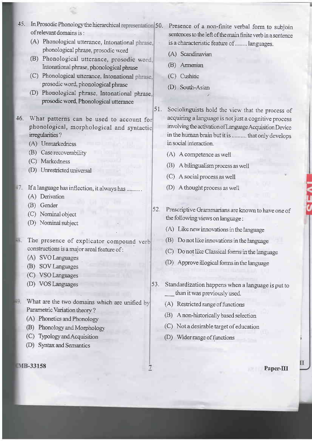- 45. In Prosodic Phonology the hierarchical representation 50. Presence of a non-finite verbal form to subjoin of relevant domains is:
	- (A) Phonological utterance, Intonational phrase. phonological phrase, prosodic word
	- (B) Phonological utterance, prosodic word, Intonational phrase, phonological phrase
	- (C) Phonological utterance. Intonational phrase, prosodic word, phonological phrase
	- (D) Phonological phrase, Intonational phrase, prosodic word, Phonological utterance
- 46. What patterns can be used to account for phonological, morphological and syntactic irregularities?
	- (A) Unmarkedness
	- (B) Case recoverability
	- (C) Markedness
	- (D) Unrestricted universal
- 17. If a language has inflection, it always has .........
	- (A) Derivation
	- (B) Gender
	- (C) Nominal object
	- (D) Nominal subject
- The presence of explicator compound verb constructions is a major areal feature of:
	- (A) SVO Languages
	- (B) SOV Languages
	- (C) VSO Languages
	- (D) VOS Languages
- What are the two domains which are unified by Parametric Variation theory?
	- (A) Phonetics and Phonology
	- (B) Phonology and Morphology
	- (C) Typology and Acquisition
	- (D) Syntax and Semantics

MB-33158

sentences to the left of the main finite verb in a sentence is a characteristic feature of ........ languages.

- (A) Scandinavian
- (B) Armenian
- (C) Cushitic

51.

(D) South-Asian

Sociolinguists hold the view that the process of acquiring a language is not just a cognitive process involving the activation of Language Acquisition Device in the human brain but it is .......... that only develops in social interaction

- (A) A competence as well
- (B) A bilingualism process as well
- (C) A social process as well
- (D) A thought process as well
- 52. Prescriptive Grammarians are known to have one of the following views on language:
	- (A) Like new innovations in the language
	- (B) Do not like innovations in the language
	- (C) Do not like Classical forms in the language
	- (D) Approve illogical forms in the language
- Standardization happens when a language is put to 53. than it was previously used.
	- (A) Restricted range of functions
	- (B) A non-historically based selection
	- (C) Not a desirable target of education
	- (D) Wider range of functions

Paper-III

7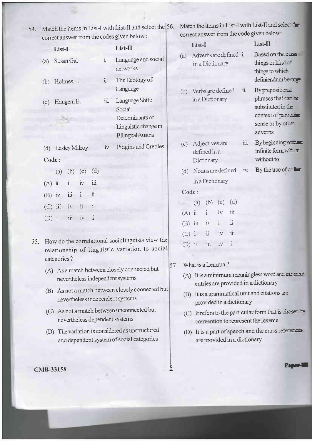| 4. Match the items in List-I with List-II and select the 56. |  |
|--------------------------------------------------------------|--|
| correct answer from the codes given below:                   |  |

Match the items in List-I with List-II and select the correct answer from the code given below:

|     |            | COLLECT SUPPOSE IT ONLY THE COULD STACK COLLECTIVE                               |                      |                                                                                                    |     |          |                     |                 |                       |                       |      |                                                                                               |
|-----|------------|----------------------------------------------------------------------------------|----------------------|----------------------------------------------------------------------------------------------------|-----|----------|---------------------|-----------------|-----------------------|-----------------------|------|-----------------------------------------------------------------------------------------------|
|     |            | List-I                                                                           |                      | List-II                                                                                            |     |          | List-I              |                 |                       |                       |      | List-II                                                                                       |
|     | (a)<br>(b) | Susan Gal<br>Holmes, J.                                                          | i.<br>$\ddot{\rm u}$ | Language and social<br>networks<br>The Ecology of                                                  | (a) |          |                     |                 | in a Dictionary       | Adverbs are defined i |      | Based on the class<br>things or kind of<br>things to which<br>definiendum bei mes             |
|     | (c)        | Haugen, E.                                                                       | iii.                 | Language<br>Language Shift:<br>Social<br>Determinants of                                           | (b) |          |                     | in a Dictionary | Verbs are defined     |                       | ii.  | By prepositions.<br>phrases that can be<br>substituted in the<br>context of paracura          |
|     |            |                                                                                  |                      | Linguistic change in<br>Bilingual Austria                                                          |     |          |                     |                 |                       |                       |      | sense or by other<br>adverbs                                                                  |
|     | (d)        | Lesley Milroy                                                                    | iv.                  | Pidgins and Creoles                                                                                | (c) |          |                     | defined in a    | Adjectives are        |                       | iii. | By beginning with<br>infinite form $w = \mathbf{r}$<br>without to                             |
|     | Code:      |                                                                                  |                      |                                                                                                    |     |          |                     | Dictionary      |                       |                       |      |                                                                                               |
|     |            | (d)<br>(c)<br>(b)<br>(a)                                                         |                      |                                                                                                    |     |          |                     |                 | (d) Nouns are defined |                       | iv.  | By the use of $er$ for                                                                        |
|     | $(A)$ $ii$ | $\dddot{\mathbf{m}}$<br>$\rm\bar{IV}$<br>$\mathbf{i}$                            |                      |                                                                                                    |     |          |                     |                 | in a Dictionary       |                       |      |                                                                                               |
|     | $(B)$ iv   | $\ddot{\rm n}$<br>iii<br>$\mathbf{i}$                                            |                      |                                                                                                    |     | Code:    |                     |                 |                       |                       |      |                                                                                               |
|     |            |                                                                                  |                      |                                                                                                    |     |          | (a)                 | (b)             | (c)                   | (d)                   |      |                                                                                               |
|     | (C)        | $\ddot{\rm u}$<br>$\mathbf{i}$<br>iii<br>iv                                      |                      |                                                                                                    |     | (A)      | $\ddot{\mathbf{u}}$ | i               | iv                    | Ш                     |      |                                                                                               |
|     | (D)        | iii<br>$\rm\dot{I}v$<br>i.<br>Ī                                                  |                      |                                                                                                    |     | (B)      | iii                 | iv              | $\mathbf{i}$          | $\ddot{\rm n}$        |      |                                                                                               |
|     |            |                                                                                  |                      |                                                                                                    |     | (C)      | $\ddot{i}$          | ü               | iv                    | iii                   |      |                                                                                               |
| 55. |            |                                                                                  |                      | How do the correlational sociolinguists view the<br>relationship of linguistic variation to social |     | $(D)$ ii |                     | iii             | iv                    | $\mathbf{i}$          |      |                                                                                               |
|     |            | categories?                                                                      |                      |                                                                                                    | 57. |          |                     |                 | What is a Lemma?      |                       |      |                                                                                               |
|     |            | (A) As a match between closely connected but<br>nevertheless independent systems |                      |                                                                                                    |     |          |                     |                 |                       |                       |      | (A) It is a minimum meaningless word and the $\equiv$<br>entries are provided in a dictionary |
|     |            |                                                                                  |                      | (B) As not a match between closely connected but                                                   |     |          |                     |                 |                       |                       |      | $\sum$ Itis a grammatical unit and citations are                                              |

 $\overline{\mathbf{8}}$ 

- (B) It is a grammatical unit and citations are provided in a dictionary
	- (C) It refers to the particular form that is cbosen convention to represent the lexeme
	- (D) It is a part of speech and the cross reference are provided in a dictionary

CMB-33158

nevertheless independent systems

nevertheless dependent systems

(C) As not a match between unconnected but

(D) The variation is considered as unstructured

and dependent system of social categories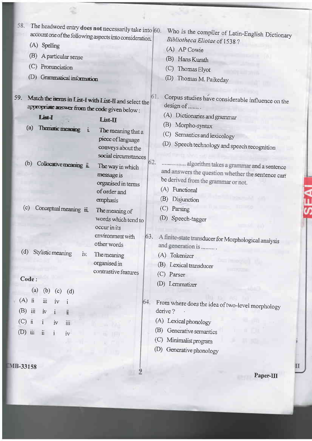| 58.<br>The headword entry does not necessarily take into 60.<br>account one of the following aspects into consideration.                                                                                                                                                                                                                                                                                                                                                                                                                                                                                                                                                                                                                                                                 | Who is the compiler of Latin-English Dictionary                                                                                                                                                                                                                                                                                                                                                                                                                                                                                                                                                                                                                                                                 |
|------------------------------------------------------------------------------------------------------------------------------------------------------------------------------------------------------------------------------------------------------------------------------------------------------------------------------------------------------------------------------------------------------------------------------------------------------------------------------------------------------------------------------------------------------------------------------------------------------------------------------------------------------------------------------------------------------------------------------------------------------------------------------------------|-----------------------------------------------------------------------------------------------------------------------------------------------------------------------------------------------------------------------------------------------------------------------------------------------------------------------------------------------------------------------------------------------------------------------------------------------------------------------------------------------------------------------------------------------------------------------------------------------------------------------------------------------------------------------------------------------------------------|
| (A) Spelling                                                                                                                                                                                                                                                                                                                                                                                                                                                                                                                                                                                                                                                                                                                                                                             | Bibliotheca Eliotae of 1538?                                                                                                                                                                                                                                                                                                                                                                                                                                                                                                                                                                                                                                                                                    |
| (B)                                                                                                                                                                                                                                                                                                                                                                                                                                                                                                                                                                                                                                                                                                                                                                                      | (A) AP Cowie                                                                                                                                                                                                                                                                                                                                                                                                                                                                                                                                                                                                                                                                                                    |
| A particular sense                                                                                                                                                                                                                                                                                                                                                                                                                                                                                                                                                                                                                                                                                                                                                                       | (B)<br>Hans Kurath                                                                                                                                                                                                                                                                                                                                                                                                                                                                                                                                                                                                                                                                                              |
| (C)<br>Pronunciation                                                                                                                                                                                                                                                                                                                                                                                                                                                                                                                                                                                                                                                                                                                                                                     | (C)<br>Thomas Elyot                                                                                                                                                                                                                                                                                                                                                                                                                                                                                                                                                                                                                                                                                             |
| (D)<br>Grammatical information                                                                                                                                                                                                                                                                                                                                                                                                                                                                                                                                                                                                                                                                                                                                                           | (D)<br>Thomas M. Paikeday                                                                                                                                                                                                                                                                                                                                                                                                                                                                                                                                                                                                                                                                                       |
| 59.<br>Match the items in List-I with List-II and select the<br>appropriate answer from the code given below:<br>List-I<br>List-II<br>(a)<br>Thematic meaning<br>$\mathbf{i}$<br>The meaning that a<br>piece of language<br>conveys about the<br>social circumstances<br>(b)<br>Collocative meaning it.<br>The way in which<br>message is<br>organised in terms<br>of order and<br>emphasis<br>(c)<br>Conceptual meaning iii.<br>The meaning of<br>words which tend to<br>occur in its<br>environment with<br>other words<br>(d)<br>Stylistic meaning<br>The meaning<br>IV.<br>organised in<br>contrastive features<br>Code:<br>$\left( a\right)$<br>(b) (c) (d)<br>$(A)$ ii<br>iii<br>iv<br>(B)<br>iii<br>$\dot{I}V$<br>$\mathbf{i}$<br>$\ddot{\mathbf{u}}$<br>(C)<br>ü<br>$\mathbf{I}$ | 61.<br>Corpus studies have considerable influence on the<br>design of<br>(A) Dictionaries and grammar<br>(B)<br>Morpho-syntax<br>(C) Semantics and lexicology<br>(D)<br>Speech technology and speech recognition<br>62.<br>algorithm takes a grammar and a sentence<br>and answers the question whether the sentence can<br>be derived from the grammar or not.<br>(A) Functional<br>(B)<br>Disjunction<br>(C)<br>Parsing<br>(D)<br>Speech-tagger<br>63.<br>A finite-state transducer for Morphological analysis<br>and generation is<br>(A) Tokenizer<br>(B) Lexical transducer<br>(C) Parser<br>(D) Lemmatizer<br>64.<br>From where does the idea of two-level morphology<br>derive?<br>(A) Lexical phonology |
| Ш<br>$\rm iv$                                                                                                                                                                                                                                                                                                                                                                                                                                                                                                                                                                                                                                                                                                                                                                            | Generative semantics<br>(B)                                                                                                                                                                                                                                                                                                                                                                                                                                                                                                                                                                                                                                                                                     |
| $(D)$ iii<br>$\ddot{\rm n}$<br>$\mathbf{i}$<br>$\mathrm{i} \mathrm{v}$                                                                                                                                                                                                                                                                                                                                                                                                                                                                                                                                                                                                                                                                                                                   | (C)<br>Minimalist program                                                                                                                                                                                                                                                                                                                                                                                                                                                                                                                                                                                                                                                                                       |
|                                                                                                                                                                                                                                                                                                                                                                                                                                                                                                                                                                                                                                                                                                                                                                                          | (D)<br>Generative phonology                                                                                                                                                                                                                                                                                                                                                                                                                                                                                                                                                                                                                                                                                     |
|                                                                                                                                                                                                                                                                                                                                                                                                                                                                                                                                                                                                                                                                                                                                                                                          |                                                                                                                                                                                                                                                                                                                                                                                                                                                                                                                                                                                                                                                                                                                 |
| IB-33158                                                                                                                                                                                                                                                                                                                                                                                                                                                                                                                                                                                                                                                                                                                                                                                 |                                                                                                                                                                                                                                                                                                                                                                                                                                                                                                                                                                                                                                                                                                                 |
|                                                                                                                                                                                                                                                                                                                                                                                                                                                                                                                                                                                                                                                                                                                                                                                          | Paper-III                                                                                                                                                                                                                                                                                                                                                                                                                                                                                                                                                                                                                                                                                                       |

SFAI

£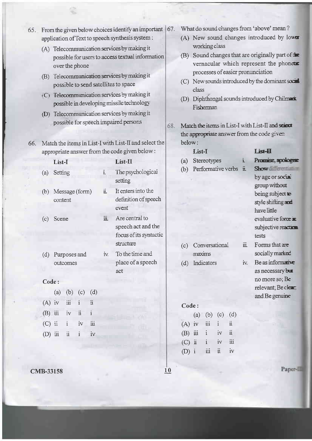- application ofText to speech synthesis system : (A) Telecommunication services by making it possible for users to access textual information over the phone (B) Telecommunication services by making it possible to send satellites to space
	- $(C)$  Telecommunication services by making it possible in developing missile technology

65. From the given below choices identify an important  $\vert$  67.

- (D) Telecommunication services by making it possible for speech impaired persons
- Match the items in List-I with List-II and select the 66. appropriate answer from the code given below :

|       | List-I                    |              | List-II                                                                     |
|-------|---------------------------|--------------|-----------------------------------------------------------------------------|
| (a)   | Setting                   | $\mathbf{L}$ | The psychological<br>setting                                                |
| (b)   | Message (form)<br>content | ii.          | It enters into the<br>definition of speech<br>event                         |
|       | (c) Scene                 | iii.         | Are central to<br>speech act and the<br>focus of its syntactic<br>structure |
| (d)   | Purposes and<br>outcomes  | IV.          | To the time and<br>place of a speech<br>act                                 |
| Code: |                           |              |                                                                             |
|       | $(b)$ (c)<br>(d)<br>(a)   |              |                                                                             |

- $(A)$  iv iii i ii  $(B)$  iii iv ii i (C) ii i iv iii  $(D)$  iii ii iv
- $CMB-33158$  10
- What do sound changes from 'above' mean?
	- (A) New sound changes introduced by lower working class
	- $(B)$  Sound changes that are originally part of  $\pm$ vernacular which represent the phonets processes of easier pronunciation
	- $(C)$  New sounds introduced by the dominant sack class
- (D) Diphthongal sounds introduced by Chilman Fisberman
- 68. Match the items in List-I with List-II and scient the appropriate answer from the code given below:

# List-I

- (a) Stereotypes i
- (b) Performative verbs ii.

# List-II

- by age or social group without being subject **re** style shifting and have little evaluative force  $\equiv$ subjective reaction tests Promise, apologie Show different
- Forms that are socially marked
- Be as informaire as necessary but no more so; Be  $relevant; Be$  cle $$ and Be genuine

| (c) Conversational | 111. |
|--------------------|------|
| maxims             |      |
|                    |      |

(d) Indicators iv

### Code :

|           |              |    | (d)         |
|-----------|--------------|----|-------------|
| $(A)$ iv  | üі           | i. | 11          |
| $(B)$ iii | $\mathbf{1}$ | iv | ü           |
| $(C)$ ii  | i.           | iv | üi          |
| $(D)$ i   | 111          | ii | iv          |
|           |              |    | (a) (b) (c) |